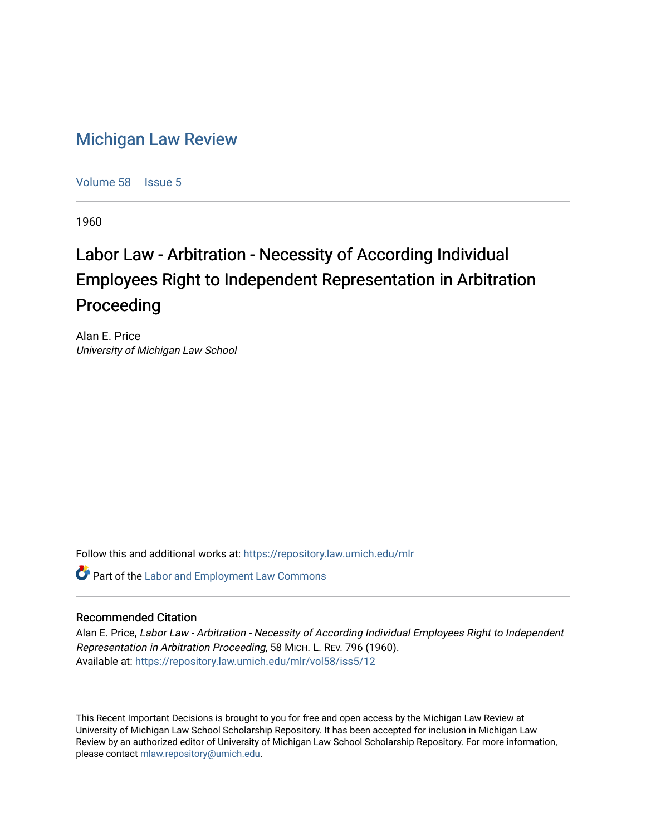## [Michigan Law Review](https://repository.law.umich.edu/mlr)

[Volume 58](https://repository.law.umich.edu/mlr/vol58) | [Issue 5](https://repository.law.umich.edu/mlr/vol58/iss5)

1960

## Labor Law - Arbitration - Necessity of According Individual Employees Right to Independent Representation in Arbitration Proceeding

Alan E. Price University of Michigan Law School

Follow this and additional works at: [https://repository.law.umich.edu/mlr](https://repository.law.umich.edu/mlr?utm_source=repository.law.umich.edu%2Fmlr%2Fvol58%2Fiss5%2F12&utm_medium=PDF&utm_campaign=PDFCoverPages) 

**Part of the [Labor and Employment Law Commons](http://network.bepress.com/hgg/discipline/909?utm_source=repository.law.umich.edu%2Fmlr%2Fvol58%2Fiss5%2F12&utm_medium=PDF&utm_campaign=PDFCoverPages)** 

## Recommended Citation

Alan E. Price, Labor Law - Arbitration - Necessity of According Individual Employees Right to Independent Representation in Arbitration Proceeding, 58 MICH. L. REV. 796 (1960). Available at: [https://repository.law.umich.edu/mlr/vol58/iss5/12](https://repository.law.umich.edu/mlr/vol58/iss5/12?utm_source=repository.law.umich.edu%2Fmlr%2Fvol58%2Fiss5%2F12&utm_medium=PDF&utm_campaign=PDFCoverPages) 

This Recent Important Decisions is brought to you for free and open access by the Michigan Law Review at University of Michigan Law School Scholarship Repository. It has been accepted for inclusion in Michigan Law Review by an authorized editor of University of Michigan Law School Scholarship Repository. For more information, please contact [mlaw.repository@umich.edu.](mailto:mlaw.repository@umich.edu)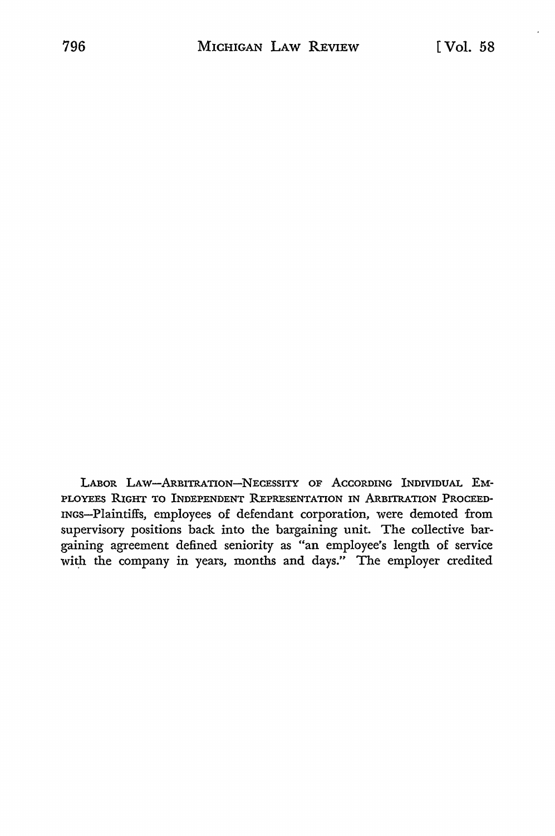LABOR LAW-ARBITRATION-NECESSITY OF ACCORDING INDIVIDUAL EM-PLOYEES RIGHT TO INDEPENDENT REPRESENTATION IN ARBITRATION PROCEED-INGS-Plaintiffs, employees of defendant corporation, were demoted from supervisory positions back into the bargaining unit. The collective bargaining agreement defined seniority as "an employee's length of service with the company in years, months and days." The employer credited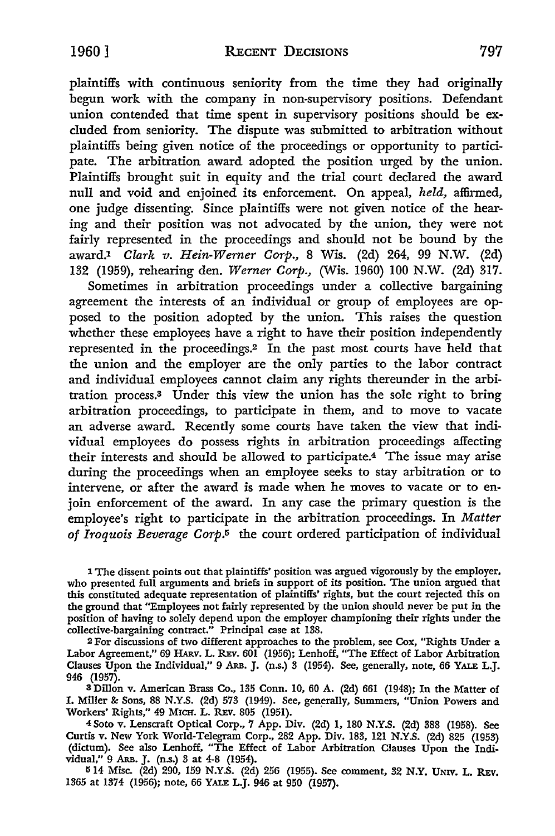plaintiffs with continuous seniority from the time they had originally begun work with the company in non-supervisory positions. Defendant union contended that time spent in supervisory positions should be exeluded from seniority. The dispute was submitted to arbitration without plaintiffs being given notice of the proceedings or opportunity to participate. The arbitration award adopted the position urged by the union. Plaintiffs brought suit in equity and the trial court declared the award null and void and enjoined its enforcement. On appeal, *held,* affirmed, one judge dissenting. Since plaintiffs were not given notice of the hearing and their position was not advocated by the union, they were not fairly represented in the proceedings and should not be bound by the award.1 *Clark v. Hein-Werner Corp.,* 8 Wis. (2d) 264, 99 N.W. (2d) 132 (1959), rehearing den. *Werner Corp.,* (\,Vis. 1960) 100 N.W. (2d) 317.

Sometimes in arbitration proceedings under a collective bargaining agreement the interests of an individual or group of employees are opposed to the position adopted by the union. This raises the question whether these employees have a right to have their position independently represented in the proceedings.2 In the past most courts have held that the union and the employer are the only parties to the labor contract and individual employees cannot claim any rights thereunder in the arbitration process.s Under this view the union has the sole right to bring arbitration proceedings, to participate in them, and to move to vacate an adverse award. Recently some courts have taken the view that individual employees do possess rights in arbitration proceedings affecting their interests and should be allowed to participate.4 The issue may arise during the proceedings when an employee seeks to stay arbitration or to intervene, or after the award is made when he moves to vacate or to enjoin enforcement of the award. In any case the primary question is the employee's right to participate in the arbitration proceedings. In *Matter*  of Iroquois Beverage Corp.<sup>5</sup> the court ordered participation of individual

1 The dissent points out that plaintiffs' position was argued vigorously by the employer, who presented full arguments and briefs in support of its position. The union argued that this constituted adequate representation of plaintiffs' rights, but the court rejected this on the ground that "Employees not fairly represented by the union should never be put in the position of having to solely depend upon the employer championing their rights under the collective-bargaining contract." Principal case at 138.

2 For discussions of two different approaches to the problem, see Cox, "Rights Under a Labor Agreement," 69 HARv. L. REv. 601 (1956); Lenhoff, "The Effect of Labor Arbitration Clauses Upon the Individual," 9 Ars. J. (n.s.) 3 (1954). See, generally, note, 66 YALE L.J. 946 (1957).

s Dillon v. American Brass Co., 135 Conn. 10, 60 A. (2d) 661 (1948); In the Matter of I. Miller & Sons, 88 N.Y.S. (2d) 573 (1949). See, generally, Summers, "Union Powers and Workers' Rights," 49 MICH. L. REv. 805 (1951).

4Soto v. Lenscraft Optical Corp., 7 App. Div. (2d) 1, 180 N.Y.S. (2d) 388 (1958). See Curtis v. New York World-Telegram Corp., 282 App. Div. 183, 121 N.Y.S. (2d) 825 (1953) (dictum). See also Lenhoff, "The Effect of Labor Arbitration Clauses Upon the Individual," 9 ARB. J. (n.s.) 3 at 4-8 (1954).

514 Misc. (2d) 290, 159 N.Y.S. (2d) 256 (1955). See comment, 32 N.Y. UNIV. L. REv. 1365 at 1374 (1956); note, 66 YALE L.J. 946 at 950 (1957).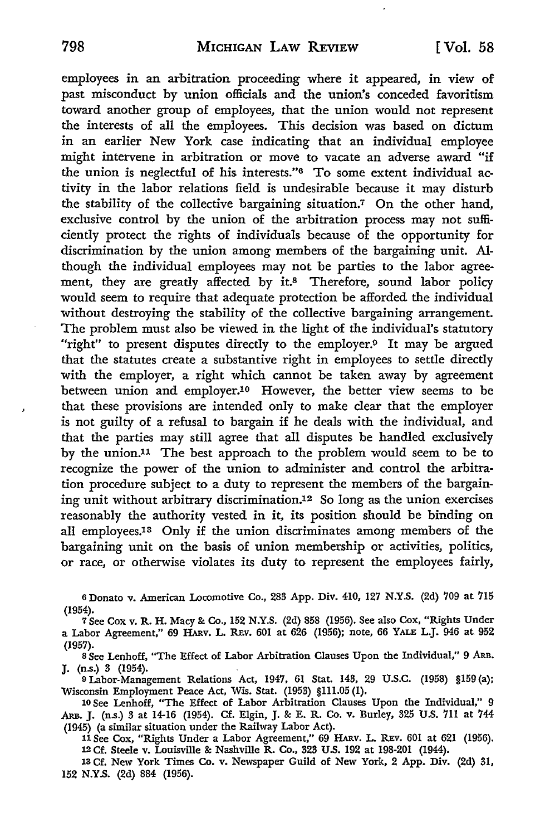employees in an arbitration proceeding where it appeared, in view of past misconduct by union officials and the union's conceded favoritism toward another group of employees, that the union would not represent the interests of all the employees. This decision was based on dictum in an earlier New York case indicating that an individual employee might intervene in arbitration or move to vacate an adverse award "if the union is neglectful of his interests."6 To some extent individual activity in the labor relations field is undesirable because it may disturb the stability of the collective bargaining situation.7 On the other hand, exclusive control by the union of the arbitration process may not sufficiently protect the rights of individuals because of the opportunity for discrimination by the union among members of the bargaining unit. Although the individual employees may not be parties to the labor agreement, they are greatly affected by it.<sup>8</sup> Therefore, sound labor policy would seem to require that adequate protection be afforded the individual without destroying the stability of the collective bargaining arrangement. The problem must also be viewed in the light of the individual's statutory "right" to present disputes directly to the employer.<sup>9</sup> It may be argued that the statutes create a substantive right in employees to settle directly with the employer, a right which cannot be taken away by agreement between union and employer.10 However, the better view seems to be that these provisions are intended only to make clear that the employer is not guilty of a refusal to bargain if he deals with the individual, and that the parties may still agree that all disputes be handled exclusively by the union.11 The best approach to the problem would seem to be to recognize the power of the union to administer and control the arbitration procedure subject to a duty to represent the members of the bargaining unit without arbitrary discrimination.12 So long as the union exercises reasonably the authority vested in it, its position should be binding on all employees.<sup>13</sup> Only if the union discriminates among members of the bargaining unit on the basis of union membership or activities, politics, or race, or otherwise violates its duty to represent the employees fairly,

<sup>6</sup>Donato v. American Locomotive Co., 283 App. Div. 410, 127 N.Y.S. (2d) 709 at 715 (1954).

<sup>7</sup>See Cox v. R.H. Macy & Co., 152 N.Y.S. (2d) 858 (1956). See also Cox, "Rights Under a Labor Agreement," 69 HARV. L. REV. 601 at 626 (1956); note, 66 YALE L.J. 946 at 952

(1957).<br>8 See Lenhoff, "The Effect of Labor Arbitration Clauses Upon the Individual," 9 ARB. J. (n.s.) 3 (1954).

9 Labor-Management Relations Act, 1947, 61 Stat. 143, 29 U.S.C. (1958) §159 (a); Wisconsin Employment Peace Act, Wis. Stat. (1953) §111.05 (1).

10 See Lenhoff, "The Effect of Labor Arbitration Clauses Upon the Individual," 9 .ARB. J. (n.s.) 3 at 14-16 (1954). Cf. Elgin, J. & E. R. Co. v. Burley, 325 U.S. 711 at 744 (1945) (a similar situation under the Railway Labor Act).

11 See Cox, "Rights Under a Labor Agreement," 69 HARV. L. REV. 601 at 621 (1956). 12 Cf. Steele v. Louisville & Nashville R. Co., 323 U.S. 192 at 198-201 (1944).

13 Cf. New York Times Co. v. Newspaper Guild of New York, 2 App. Div. (2d) 31, 152 N.Y.S. (2d) 884 (1956).